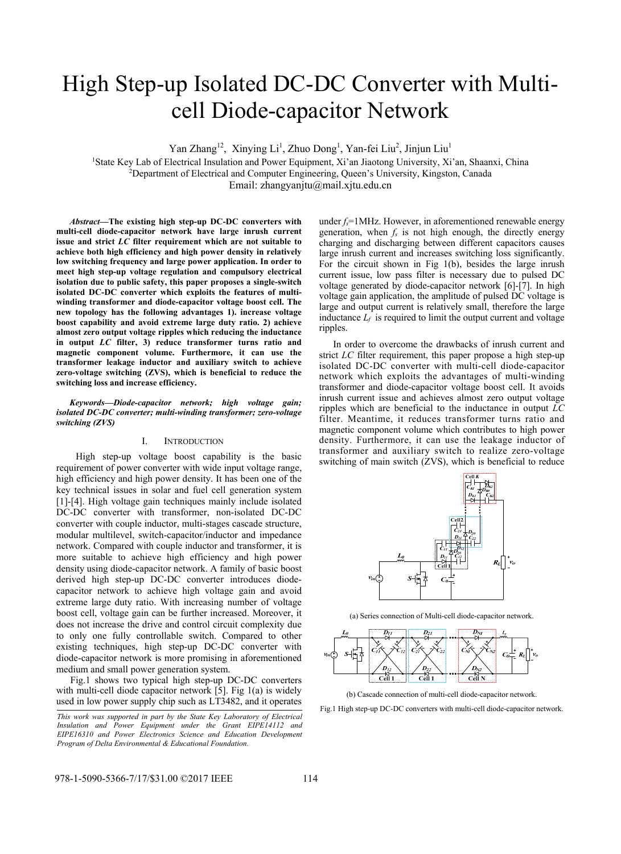# High Step-up Isolated DC-DC Converter with Multicell Diode-capacitor Network

Yan Zhang<sup>12</sup>, Xinying Li<sup>1</sup>, Zhuo Dong<sup>1</sup>, Yan-fei Liu<sup>2</sup>, Jinjun Liu<sup>1</sup>

<sup>1</sup>State Key Lab of Electrical Insulation and Power Equipment, Xi'an Jiaotong University, Xi'an, Shaanxi, China <sup>2</sup><br><sup>2</sup> Denartment of Electrical and Computer Engineering Oueen's University Kingston, Canada <sup>2</sup>Department of Electrical and Computer Engineering, Queen's University, Kingston, Canada Email: zhangyanjtu@mail.xjtu.edu.cn

*Abstract***—The existing high step-up DC-DC converters with multi-cell diode-capacitor network have large inrush current issue and strict** *LC* **filter requirement which are not suitable to achieve both high efficiency and high power density in relatively low switching frequency and large power application. In order to meet high step-up voltage regulation and compulsory electrical isolation due to public safety, this paper proposes a single-switch isolated DC-DC converter which exploits the features of multiwinding transformer and diode-capacitor voltage boost cell. The new topology has the following advantages 1). increase voltage boost capability and avoid extreme large duty ratio. 2) achieve almost zero output voltage ripples which reducing the inductance in output** *LC* **filter, 3) reduce transformer turns ratio and magnetic component volume. Furthermore, it can use the transformer leakage inductor and auxiliary switch to achieve zero-voltage switching (ZVS), which is beneficial to reduce the switching loss and increase efficiency.** 

*Keywords—Diode-capacitor network; high voltage gain; isolated DC-DC converter; multi-winding transformer; zero-voltage switching (ZVS)* 

## I. INTRODUCTION

High step-up voltage boost capability is the basic requirement of power converter with wide input voltage range, high efficiency and high power density. It has been one of the key technical issues in solar and fuel cell generation system [1]-[4]. High voltage gain techniques mainly include isolated DC-DC converter with transformer, non-isolated DC-DC converter with couple inductor, multi-stages cascade structure, modular multilevel, switch-capacitor/inductor and impedance network. Compared with couple inductor and transformer, it is more suitable to achieve high efficiency and high power density using diode-capacitor network. A family of basic boost derived high step-up DC-DC converter introduces diodecapacitor network to achieve high voltage gain and avoid extreme large duty ratio. With increasing number of voltage boost cell, voltage gain can be further increased. Moreover, it does not increase the drive and control circuit complexity due to only one fully controllable switch. Compared to other existing techniques, high step-up DC-DC converter with diode-capacitor network is more promising in aforementioned medium and small power generation system.

Fig.1 shows two typical high step-up DC-DC converters with multi-cell diode capacitor network [5]. Fig 1(a) is widely used in low power supply chip such as LT3482, and it operates under  $f_s$ =1MHz. However, in aforementioned renewable energy generation, when  $f_s$  is not high enough, the directly energy charging and discharging between different capacitors causes large inrush current and increases switching loss significantly. For the circuit shown in Fig 1(b), besides the large inrush current issue, low pass filter is necessary due to pulsed DC voltage generated by diode-capacitor network [6]-[7]. In high voltage gain application, the amplitude of pulsed DC voltage is large and output current is relatively small, therefore the large inductance  $L_f$  is required to limit the output current and voltage ripples.

In order to overcome the drawbacks of inrush current and strict *LC* filter requirement, this paper propose a high step-up isolated DC-DC converter with multi-cell diode-capacitor network which exploits the advantages of multi-winding transformer and diode-capacitor voltage boost cell. It avoids inrush current issue and achieves almost zero output voltage ripples which are beneficial to the inductance in output *LC* filter. Meantime, it reduces transformer turns ratio and magnetic component volume which contributes to high power density. Furthermore, it can use the leakage inductor of transformer and auxiliary switch to realize zero-voltage switching of main switch (ZVS), which is beneficial to reduce



(a) Series connection of Multi-cell diode-capacitor network.



(b) Cascade connection of multi-cell diode-capacitor network.

Fig.1 High step-up DC-DC converters with multi-cell diode-capacitor network.

*This work was supported in part by the State Key Laboratory of Electrical Insulation and Power Equipment under the Grant EIPE14112 and EIPE16310 and Power Electronics Science and Education Development Program of Delta Environmental & Educational Foundation.*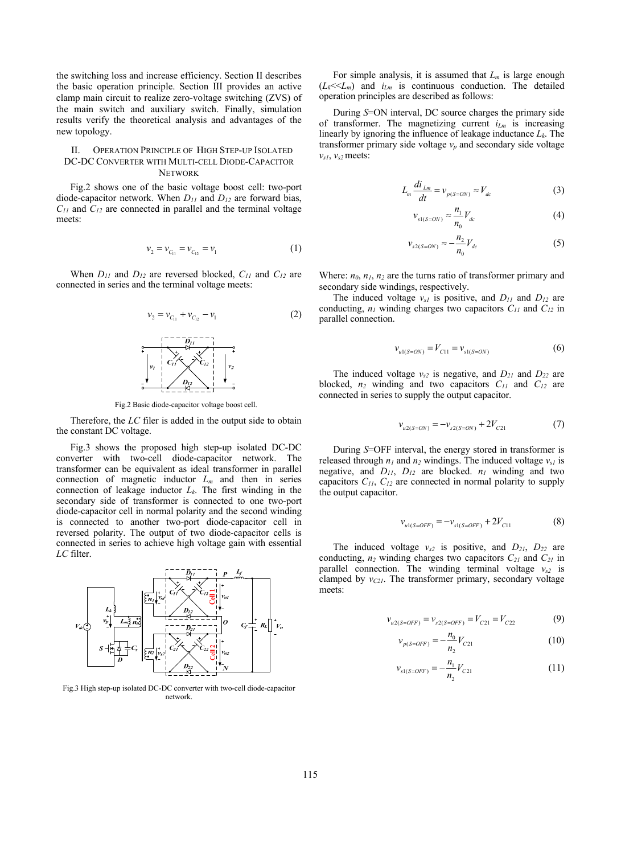the switching loss and increase efficiency. Section II describes the basic operation principle. Section III provides an active clamp main circuit to realize zero-voltage switching (ZVS) of the main switch and auxiliary switch. Finally, simulation results verify the theoretical analysis and advantages of the new topology.

## II. OPERATION PRINCIPLE OF HIGH STEP-UP ISOLATED DC-DC CONVERTER WITH MULTI-CELL DIODE-CAPACITOR **NETWORK**

Fig.2 shows one of the basic voltage boost cell: two-port diode-capacitor network. When *D11* and *D12* are forward bias, *C11* and *C12* are connected in parallel and the terminal voltage meets:

$$
v_2 = v_{C_{11}} = v_{C_{12}} = v_1 \tag{1}
$$

When  $D_{11}$  and  $D_{12}$  are reversed blocked,  $C_{11}$  and  $C_{12}$  are connected in series and the terminal voltage meets:



Fig.2 Basic diode-capacitor voltage boost cell.

Therefore, the *LC* filer is added in the output side to obtain the constant DC voltage.

Fig.3 shows the proposed high step-up isolated DC-DC converter with two-cell diode-capacitor network. The transformer can be equivalent as ideal transformer in parallel connection of magnetic inductor  $L_m$  and then in series connection of leakage inductor  $L_k$ . The first winding in the secondary side of transformer is connected to one two-port diode-capacitor cell in normal polarity and the second winding is connected to another two-port diode-capacitor cell in reversed polarity. The output of two diode-capacitor cells is connected in series to achieve high voltage gain with essential *LC* filter.



Fig.3 High step-up isolated DC-DC converter with two-cell diode-capacitor network.

For simple analysis, it is assumed that *Lm* is large enough  $(L_k \ll L_m)$  and  $i_{Lm}$  is continuous conduction. The detailed operation principles are described as follows:

During *S*=ON interval, DC source charges the primary side of transformer. The magnetizing current *iLm* is increasing linearly by ignoring the influence of leakage inductance *Lk*. The transformer primary side voltage  $v_p$  and secondary side voltage *vs1*, *vs2* meets:

$$
L_m \frac{di_{Lm}}{dt} = v_{p(S=ON)} \approx V_{dc}
$$
 (3)

$$
v_{s1(S=ON)} \approx \frac{n_1}{n_0} V_{dc}
$$
 (4)

$$
v_{s2(S=ON)} \approx -\frac{n_2}{n_0} V_{dc} \tag{5}
$$

Where:  $n_0$ ,  $n_1$ ,  $n_2$  are the turns ratio of transformer primary and secondary side windings, respectively.

The induced voltage  $v_{s1}$  is positive, and  $D_{11}$  and  $D_{12}$  are conducting,  $n_l$  winding charges two capacitors  $C_{11}$  and  $C_{12}$  in parallel connection.

$$
v_{u1(S=ON)} = V_{C11} = v_{s1(S=ON)} \tag{6}
$$

The induced voltage  $v_{s2}$  is negative, and  $D_{21}$  and  $D_{22}$  are blocked,  $n_2$  winding and two capacitors  $C_{11}$  and  $C_{12}$  are connected in series to supply the output capacitor.

$$
v_{u2(S=ON)} = -v_{s2(S=ON)} + 2V_{C21}
$$
 (7)

During *S*=OFF interval, the energy stored in transformer is released through  $n_1$  and  $n_2$  windings. The induced voltage  $v_{s1}$  is negative, and  $D_{11}$ ,  $D_{12}$  are blocked.  $n_1$  winding and two capacitors  $C_{11}$ ,  $C_{12}$  are connected in normal polarity to supply the output capacitor.

$$
v_{u1(S=OFF)} = -v_{s1(S=OFF)} + 2V_{C11}
$$
 (8)

The induced voltage  $v_{s2}$  is positive, and  $D_{21}$ ,  $D_{22}$  are conducting,  $n_2$  winding charges two capacitors  $C_{21}$  and  $C_{21}$  in parallel connection. The winding terminal voltage  $v_{s2}$  is clamped by  $v_{C21}$ . The transformer primary, secondary voltage meets:

$$
v_{u2(S=OFF)} = v_{s2(S=OFF)} = V_{C21} = V_{C22}
$$
 (9)

$$
v_{p(S=OFF)} = -\frac{n_0}{n_2} V_{C21}
$$
 (10)

$$
v_{s1(s=OFF)} = -\frac{n_1}{n_2} V_{C21}
$$
 (11)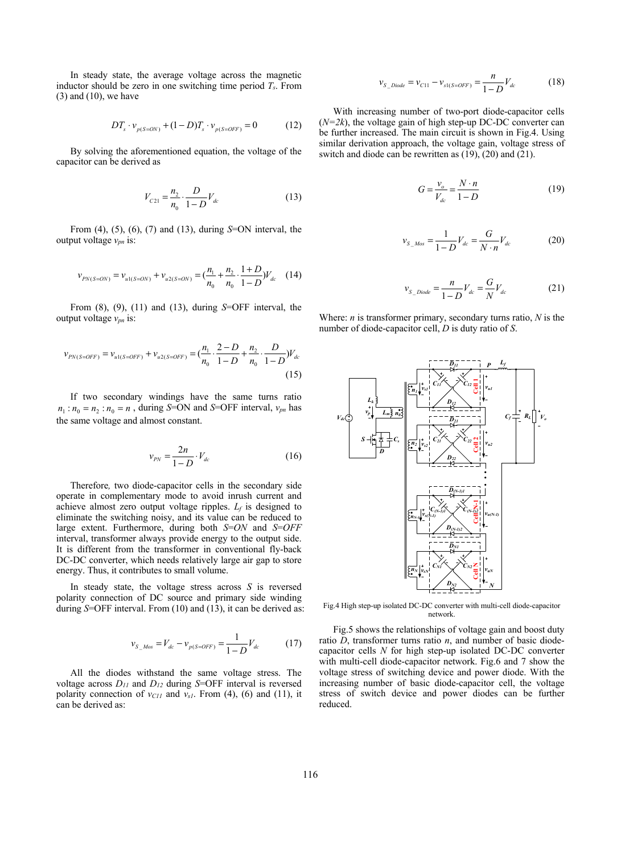In steady state, the average voltage across the magnetic inductor should be zero in one switching time period *Ts*. From  $(3)$  and  $(10)$ , we have

$$
DT_{s} \cdot v_{p(S=ON)} + (1-D)T_{s} \cdot v_{p(S=OFF)} = 0 \tag{12}
$$

By solving the aforementioned equation, the voltage of the capacitor can be derived as

$$
V_{C21} = \frac{n_2}{n_0} \cdot \frac{D}{1 - D} V_{dc}
$$
 (13)

From (4), (5), (6), (7) and (13), during *S*=ON interval, the output voltage *vpn* is:

$$
v_{PN(S=ON)} = v_{u1(S=ON)} + v_{u2(S=ON)} = \left(\frac{n_1}{n_0} + \frac{n_2}{n_0} \cdot \frac{1+D}{1-D}\right) V_{dc} \quad (14)
$$

From (8), (9), (11) and (13), during *S*=OFF interval, the output voltage *vpn* is:

$$
v_{PN(S=OFF)} = v_{u1(S=OFF)} + v_{u2(S=OFF)} = \left(\frac{n_1}{n_0} \cdot \frac{2-D}{1-D} + \frac{n_2}{n_0} \cdot \frac{D}{1-D}\right) V_{dc}
$$
\n(15)

If two secondary windings have the same turns ratio  $n_1 : n_0 = n_2 : n_0 = n$ , during *S*=ON and *S*=OFF interval,  $v_{pn}$  has the same voltage and almost constant.

$$
v_{PN} = \frac{2n}{1 - D} \cdot V_{dc}
$$
 (16)

Therefore*,* two diode-capacitor cells in the secondary side operate in complementary mode to avoid inrush current and achieve almost zero output voltage ripples. *Lf* is designed to eliminate the switching noisy, and its value can be reduced to large extent. Furthermore, during both *S*=*ON* and *S*=*OFF* interval, transformer always provide energy to the output side. It is different from the transformer in conventional fly-back DC-DC converter, which needs relatively large air gap to store energy. Thus, it contributes to small volume.

In steady state, the voltage stress across *S* is reversed polarity connection of DC source and primary side winding during *S*=OFF interval. From (10) and (13), it can be derived as:

$$
v_{S_{\_}Mos} = V_{dc} - v_{p(S=OFF)} = \frac{1}{1 - D} V_{dc} \tag{17}
$$

All the diodes withstand the same voltage stress. The voltage across *D11* and *D12* during *S*=OFF interval is reversed polarity connection of  $v_{C11}$  and  $v_{s1}$ . From (4), (6) and (11), it can be derived as:

$$
v_{S\_Diode} = v_{C11} - v_{s1(S=OFF)} = \frac{n}{1-D} V_{dc}
$$
 (18)

With increasing number of two-port diode-capacitor cells  $(N=2k)$ , the voltage gain of high step-up DC-DC converter can be further increased. The main circuit is shown in Fig.4. Using similar derivation approach, the voltage gain, voltage stress of switch and diode can be rewritten as (19), (20) and (21).

$$
G = \frac{v_o}{V_{dc}} = \frac{N \cdot n}{1 - D} \tag{19}
$$

$$
v_{S_{-}Mos} = \frac{1}{1 - D} V_{dc} = \frac{G}{N \cdot n} V_{dc}
$$
 (20)

$$
v_{S\_Diode} = \frac{n}{1 - D} V_{dc} = \frac{G}{N} V_{dc}
$$
 (21)

Where: *n* is transformer primary, secondary turns ratio, *N* is the number of diode-capacitor cell, *D* is duty ratio of *S*.



Fig.4 High step-up isolated DC-DC converter with multi-cell diode-capacitor network.

Fig.5 shows the relationships of voltage gain and boost duty ratio *D*, transformer turns ratio *n*, and number of basic diodecapacitor cells *N* for high step-up isolated DC-DC converter with multi-cell diode-capacitor network. Fig.6 and 7 show the voltage stress of switching device and power diode. With the increasing number of basic diode-capacitor cell, the voltage stress of switch device and power diodes can be further reduced.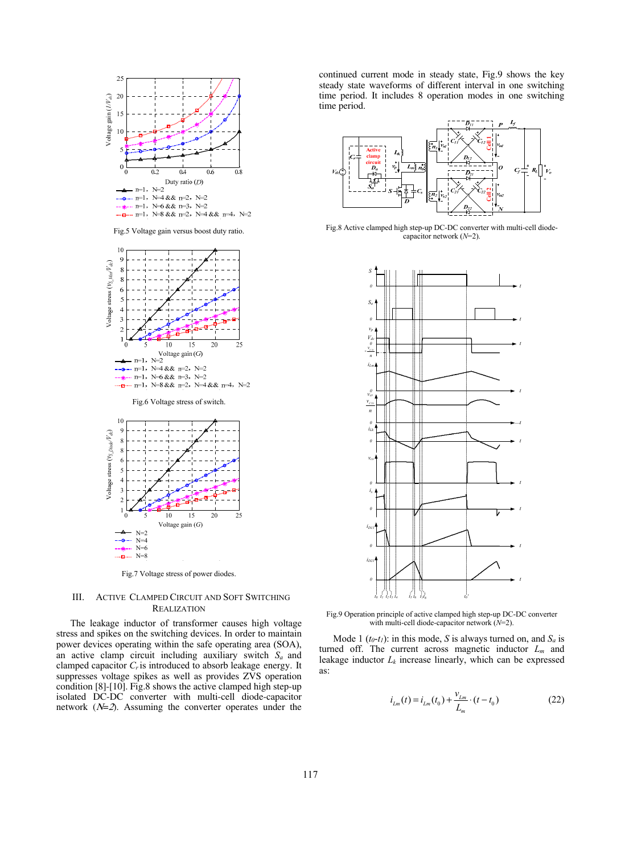

Fig.5 Voltage gain versus boost duty ratio.



 $N=8$ Fig.7 Voltage stress of power diodes.

N=8

.....<del>...</del>.....

#### III. ACTIVE CLAMPED CIRCUIT AND SOFT SWITCHING **REALIZATION**

The leakage inductor of transformer causes high voltage stress and spikes on the switching devices. In order to maintain power devices operating within the safe operating area (SOA), an active clamp circuit including auxiliary switch *Sa* and clamped capacitor *Cr* is introduced to absorb leakage energy. It suppresses voltage spikes as well as provides ZVS operation condition [8]-[10]. Fig.8 shows the active clamped high step-up isolated DC-DC converter with multi-cell diode-capacitor network  $(N=2)$ . Assuming the converter operates under the

continued current mode in steady state, Fig.9 shows the key steady state waveforms of different interval in one switching time period. It includes 8 operation modes in one switching time period.



Fig.8 Active clamped high step-up DC-DC converter with multi-cell diodecapacitor network (*N*=2).



Fig.9 Operation principle of active clamped high step-up DC-DC converter with multi-cell diode-capacitor network (*N*=2).

Mode 1 ( $t_0$ - $t_1$ ): in this mode, *S* is always turned on, and  $S_a$  is turned off. The current across magnetic inductor *Lm* and leakage inductor *Lk* increase linearly, which can be expressed as:

$$
i_{L_m}(t) = i_{L_m}(t_0) + \frac{v_{L_m}}{L_m} \cdot (t - t_0)
$$
 (22)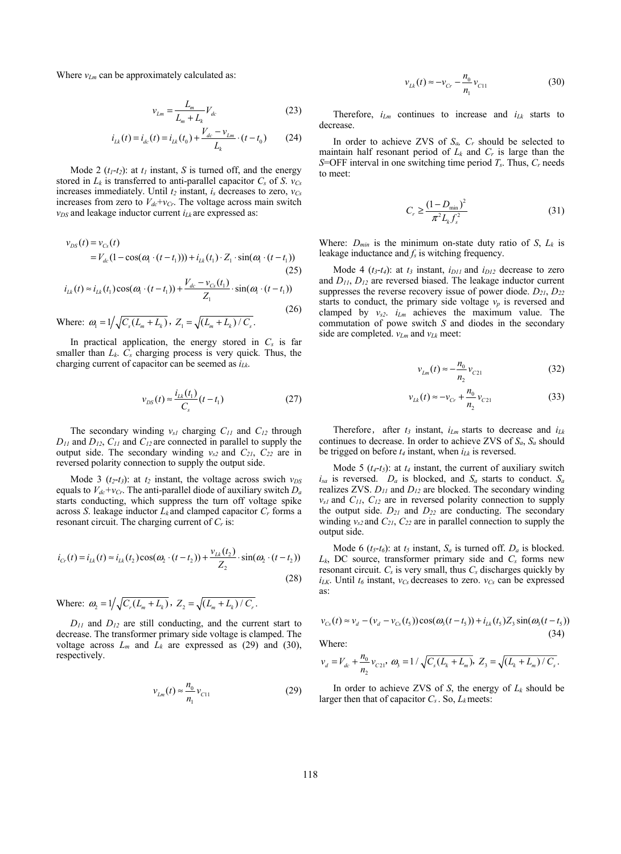Where  $v_{Lm}$  can be approximately calculated as:

$$
v_{Lm} = \frac{L_m}{L_m + L_k} V_{dc}
$$
 (23)

$$
i_{Lk}(t) = i_{dc}(t) = i_{Lk}(t_0) + \frac{V_{dc} - v_{Lm}}{L_k} \cdot (t - t_0)
$$
 (24)

Mode 2  $(t_1-t_2)$ : at  $t_1$  instant, *S* is turned off, and the energy stored in  $L_k$  is transferred to anti-parallel capacitor  $C_s$  of *S*.  $v_{Cs}$ increases immediately. Until  $t_2$  instant,  $i_s$  decreases to zero,  $v_{Cs}$ increases from zero to  $V_{dc} + v_{Cr}$ . The voltage across main switch  $v_{DS}$  and leakage inductor current  $i_{Lk}$  are expressed as:

$$
v_{DS}(t) = v_{Cs}(t)
$$
  
=  $V_{dc}(1 - \cos(\omega_1 \cdot (t - t_1))) + i_{Lk}(t_1) \cdot Z_1 \cdot \sin(\omega_1 \cdot (t - t_1))$  (25)

$$
i_{Lk}(t) \approx i_{Lk}(t_1)\cos(\omega_1 \cdot (t - t_1)) + \frac{V_{dc} - v_{Cs}(t_1)}{Z_1} \cdot \sin(\omega_1 \cdot (t - t_1))
$$
\n(26)

Where:  $\omega_1 = 1/\sqrt{C_s(L_m + L_k)}$ ,  $Z_1 = \sqrt{(L_m + L_k) / C_s}$ .

In practical application, the energy stored in *Cs* is far smaller than *Lk*. *Cs* charging process is very quick*.* Thus, the charging current of capacitor can be seemed as *iLk*.

$$
v_{DS}(t) \approx \frac{i_{Lk}(t_1)}{C_s}(t - t_1)
$$
\n(27)

The secondary winding  $v_{s1}$  charging  $C_{11}$  and  $C_{12}$  through  $D_{11}$  and  $D_{12}$ ,  $C_{11}$  and  $C_{12}$  are connected in parallel to supply the output side. The secondary winding  $v_{s2}$  and  $C_{21}$ ,  $C_{22}$  are in reversed polarity connection to supply the output side.

Mode 3 ( $t_2$ - $t_3$ ): at  $t_2$  instant, the voltage across swich  $v_{DS}$ equals to  $V_{dc}+v_{Cr}$ . The anti-parallel diode of auxiliary switch  $D_a$ starts conducting, which suppress the turn off voltage spike across *S*. leakage inductor  $L_k$  and clamped capacitor  $C_r$  forms a resonant circuit. The charging current of *Cr* is:

$$
i_{Cr}(t) = i_{Lk}(t) \approx i_{Lk}(t_2) \cos(\omega_2 \cdot (t - t_2)) + \frac{v_{Lk}(t_2)}{Z_2} \cdot \sin(\omega_2 \cdot (t - t_2))
$$
\n(28)

Where:  $\omega_2 = 1/\sqrt{C_r (L_m + L_k)}$ ,  $Z_2 = \sqrt{(L_m + L_k) / C_r}$ .

*D11* and *D12* are still conducting, and the current start to decrease. The transformer primary side voltage is clamped. The voltage across  $L_m$  and  $L_k$  are expressed as (29) and (30), respectively.

$$
v_{Lm}(t) \approx \frac{n_0}{n_1} v_{C11}
$$
 (29)

$$
v_{Lk}(t) \approx -v_{Cr} - \frac{n_0}{n_1} v_{C11}
$$
 (30)

Therefore,  $i_{Lm}$  continues to increase and  $i_{Lk}$  starts to decrease.

In order to achieve ZVS of *Sa, Cr* should be selected to maintain half resonant period of  $L_k$  and  $C_r$  is large than the *S*=OFF interval in one switching time period *Ts*. Thus, *Cr* needs to meet:

$$
C_r \ge \frac{(1 - D_{\min})^2}{\pi^2 L_k f_s^2}
$$
 (31)

Where:  $D_{min}$  is the minimum on-state duty ratio of *S*,  $L_k$  is leakage inductance and *fs* is witching frequency.

Mode 4  $(t_3-t_4)$ : at  $t_3$  instant,  $i_{D11}$  and  $i_{D12}$  decrease to zero and *D11*, *D12* are reversed biased. The leakage inductor current suppresses the reverse recovery issue of power diode.  $D_{21}$ ,  $D_{22}$ starts to conduct, the primary side voltage  $v_p$  is reversed and clamped by *vs2*. *iLm* achieves the maximum value. The commutation of powe switch *S* and diodes in the secondary side are completed.  $v_{Lm}$  and  $v_{Lk}$  meet:

$$
v_{Lm}(t) \approx -\frac{n_0}{n_2} v_{C21}
$$
 (32)

$$
v_{Lk}(t) \approx -v_{Cr} + \frac{n_0}{n_2} v_{C21}
$$
 (33)

Therefore, after  $t_3$  instant,  $i_{Lm}$  starts to decrease and  $i_{Lk}$ continues to decrease. In order to achieve ZVS of  $S_a$ ,  $S_a$  should be trigged on before  $t_4$  instant, when  $i_{Lk}$  is reversed.

Mode 5  $(t_4-t_5)$ : at  $t_4$  instant, the current of auxiliary switch  $i_{sa}$  is reversed.  $D_a$  is blocked, and  $S_a$  starts to conduct.  $S_a$ realizes ZVS. *D11* and *D12* are blocked. The secondary winding  $v_{s1}$  and  $C_{11}$ ,  $C_{12}$  are in reversed polarity connection to supply the output side.  $D_{21}$  and  $D_{22}$  are conducting. The secondary winding  $v_{s2}$  and  $C_{21}$ ,  $C_{22}$  are in parallel connection to supply the output side.

Mode 6 ( $t_5-t_6$ ): at  $t_5$  instant,  $S_a$  is turned off.  $D_a$  is blocked. *Lk*, DC source, transformer primary side and *Cs* forms new resonant circuit.  $C_s$  is very small, thus  $C_s$  discharges quickly by  $i_{LK}$ . Until  $t_6$  instant,  $v_{Cs}$  decreases to zero.  $v_{Cs}$  can be expressed as:

$$
v_{Cs}(t) \approx v_d - (v_d - v_{Cs}(t_s))\cos(\omega_3(t - t_s)) + i_{Lk}(t_s)Z_s\sin(\omega_3(t - t_s))
$$
\n(34)

Where:

$$
v_d = V_{dc} + \frac{n_0}{n_2} v_{C21}
$$
,  $\omega_3 = 1 / \sqrt{C_s (L_k + L_m)}$ ,  $Z_3 = \sqrt{(L_k + L_m) / C_s}$ .

In order to achieve ZVS of  $S$ , the energy of  $L_k$  should be larger then that of capacitor  $C_s$ . So,  $L_k$  meets: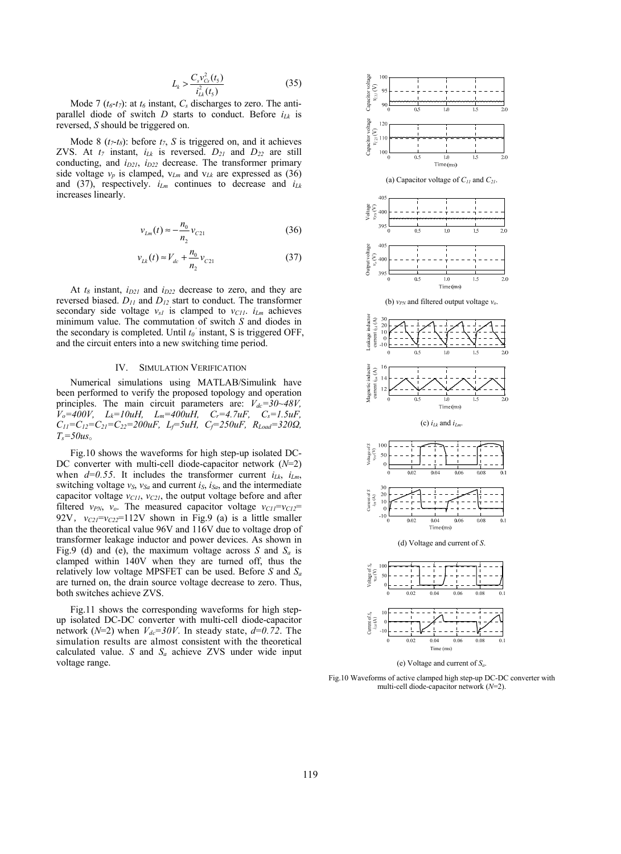$$
L_k > \frac{C_s v_{cs}^2(t_5)}{i_{Lk}^2(t_5)}
$$
(35)

Mode 7 ( $t_6$ - $t_7$ ): at  $t_6$  instant,  $C_s$  discharges to zero. The antiparallel diode of switch  $D$  starts to conduct. Before  $i_{Lk}$  is reversed, *S* should be triggered on.

Mode 8  $(t_7-t_8)$ : before  $t_7$ , S is triggered on, and it achieves ZVS. At  $t_7$  instant,  $i_{Lk}$  is reversed.  $D_{21}$  and  $D_{22}$  are still conducting, and  $i_{D21}$ ,  $i_{D22}$  decrease. The transformer primary side voltage  $v_p$  is clamped,  $v_{Lm}$  and  $v_{Lk}$  are expressed as (36) and (37), respectively.  $i_{Lm}$  continues to decrease and  $i_{Lk}$ increases linearly.

$$
v_{Lm}(t) \approx -\frac{n_0}{n_2} v_{C21}
$$
 (36)

$$
v_{Lk}(t) \approx V_{dc} + \frac{n_0}{n_2} v_{C21}
$$
 (37)

At  $t_8$  instant,  $i_{D21}$  and  $i_{D22}$  decrease to zero, and they are reversed biased. *D11* and *D12* start to conduct. The transformer secondary side voltage  $v_{s1}$  is clamped to  $v_{C11}$ .  $i_{Lm}$  achieves minimum value. The commutation of switch *S* and diodes in the secondary is completed. Until  $t_0$ <sup>'</sup> instant, S is triggered OFF, and the circuit enters into a new switching time period.

## IV. SIMULATION VERIFICATION

Numerical simulations using MATLAB/Simulink have been performed to verify the proposed topology and operation principles. The main circuit parameters are:  $V_{dc} = 30 \sim 48V$ , *Vo=400V, Lk=10uH, Lm=400uH, Cr=4.7uF, Cs=1.5uF, C11=C12=C21=C22=200uF, Lf=5uH, Cf=250uF, RLoad=320Ω, Ts=50us*。

Fig.10 shows the waveforms for high step-up isolated DC-DC converter with multi-cell diode-capacitor network (*N*=2) when  $d=0.55$ . It includes the transformer current  $i_{Lk}$ ,  $i_{Lm}$ , switching voltage  $v_S$ ,  $v_{Sa}$  and current  $i_S$ ,  $i_{Sa}$ , and the intermediate capacitor voltage  $v_{CII}$ ,  $v_{C2I}$ , the output voltage before and after filtered  $v_{PN}$ ,  $v_o$ . The measured capacitor voltage  $v_{C11} = v_{C12} =$ 92V,  $v_{C21} = v_{C22} = 112V$  shown in Fig.9 (a) is a little smaller than the theoretical value 96V and 116V due to voltage drop of transformer leakage inductor and power devices. As shown in Fig.9 (d) and (e), the maximum voltage across *S* and *Sa* is clamped within 140V when they are turned off, thus the relatively low voltage MPSFET can be used. Before *S* and *Sa* are turned on, the drain source voltage decrease to zero. Thus, both switches achieve ZVS.

Fig.11 shows the corresponding waveforms for high stepup isolated DC-DC converter with multi-cell diode-capacitor network ( $N=2$ ) when  $V_{dc}=30V$ . In steady state,  $d=0.72$ . The simulation results are almost consistent with the theoretical calculated value. *S* and *Sa* achieve ZVS under wide input voltage range.



(e) Voltage and current of *Sa*.

Fig.10 Waveforms of active clamped high step-up DC-DC converter with multi-cell diode-capacitor network (*N*=2).